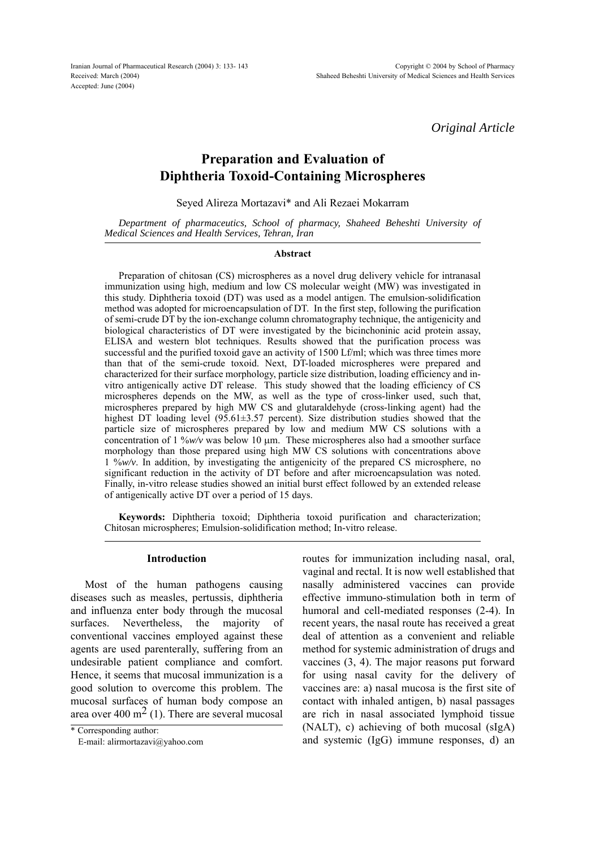Iranian Journal of Pharmaceutical Research (2004) 3: 133- 143 Received: March (2004) Accepted: June (2004)

*Original Article*

# **Preparation and Evaluation of Diphtheria Toxoid-Containing Microspheres**

Seyed Alireza Mortazavi\* and Ali Rezaei Mokarram

*Department of pharmaceutics, School of pharmacy, Shaheed Beheshti University of Medical Sciences and Health Services, Tehran, Iran*

#### **Abstract**

Preparation of chitosan (CS) microspheres as a novel drug delivery vehicle for intranasal immunization using high, medium and low CS molecular weight (MW) was investigated in this study. Diphtheria toxoid (DT) was used as a model antigen. The emulsion-solidification method was adopted for microencapsulation of DT. In the first step, following the purification of semi-crude DT by the ion-exchange column chromatography technique, the antigenicity and biological characteristics of DT were investigated by the bicinchoninic acid protein assay, ELISA and western blot techniques. Results showed that the purification process was successful and the purified toxoid gave an activity of 1500 Lf/ml; which was three times more than that of the semi-crude toxoid. Next, DT-loaded microspheres were prepared and characterized for their surface morphology, particle size distribution, loading efficiency and invitro antigenically active DT release. This study showed that the loading efficiency of CS microspheres depends on the MW, as well as the type of cross-linker used, such that, microspheres prepared by high MW CS and glutaraldehyde (cross-linking agent) had the highest DT loading level (95.61±3.57 percent). Size distribution studies showed that the particle size of microspheres prepared by low and medium MW CS solutions with a concentration of 1  $\frac{w}{v}$  was below 10  $\mu$ m. These microspheres also had a smoother surface morphology than those prepared using high MW CS solutions with concentrations above 1 %*w/v*. In addition, by investigating the antigenicity of the prepared CS microsphere, no significant reduction in the activity of DT before and after microencapsulation was noted. Finally, in-vitro release studies showed an initial burst effect followed by an extended release of antigenically active DT over a period of 15 days.

**Keywords:** Diphtheria toxoid; Diphtheria toxoid purification and characterization; Chitosan microspheres; Emulsion-solidification method; In-vitro release.

#### **Introduction**

Most of the human pathogens causing diseases such as measles, pertussis, diphtheria and influenza enter body through the mucosal surfaces. Nevertheless, the majority of conventional vaccines employed against these agents are used parenterally, suffering from an undesirable patient compliance and comfort. Hence, it seems that mucosal immunization is a good solution to overcome this problem. The mucosal surfaces of human body compose an area over  $400 \text{ m}^2$  (1). There are several mucosal routes for immunization including nasal, oral, vaginal and rectal. It is now well established that nasally administered vaccines can provide effective immuno-stimulation both in term of humoral and cell-mediated responses (2-4). In recent years, the nasal route has received a great deal of attention as a convenient and reliable method for systemic administration of drugs and vaccines (3, 4). The major reasons put forward for using nasal cavity for the delivery of vaccines are: a) nasal mucosa is the first site of contact with inhaled antigen, b) nasal passages are rich in nasal associated lymphoid tissue (NALT), c) achieving of both mucosal (sIgA) and systemic (IgG) immune responses, d) an

<sup>\*</sup> Corresponding author:

E-mail: alirmortazavi@yahoo.com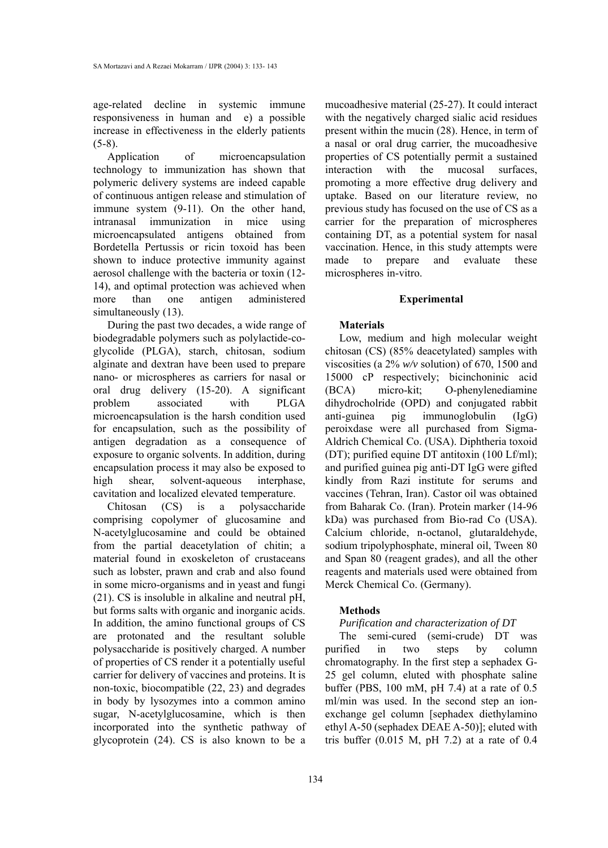age-related decline in systemic immune responsiveness in human and e) a possible increase in effectiveness in the elderly patients  $(5-8)$ .

Application of microencapsulation technology to immunization has shown that polymeric delivery systems are indeed capable of continuous antigen release and stimulation of immune system (9-11). On the other hand, intranasal immunization in mice using microencapsulated antigens obtained from Bordetella Pertussis or ricin toxoid has been shown to induce protective immunity against aerosol challenge with the bacteria or toxin (12- 14), and optimal protection was achieved when more than one antigen administered simultaneously (13).

During the past two decades, a wide range of biodegradable polymers such as polylactide-coglycolide (PLGA), starch, chitosan, sodium alginate and dextran have been used to prepare nano- or microspheres as carriers for nasal or oral drug delivery (15-20). A significant problem associated with PLGA microencapsulation is the harsh condition used for encapsulation, such as the possibility of antigen degradation as a consequence of exposure to organic solvents. In addition, during encapsulation process it may also be exposed to high shear, solvent-aqueous interphase, cavitation and localized elevated temperature.

Chitosan (CS) is a polysaccharide comprising copolymer of glucosamine and N-acetylglucosamine and could be obtained from the partial deacetylation of chitin; a material found in exoskeleton of crustaceans such as lobster, prawn and crab and also found in some micro-organisms and in yeast and fungi (21). CS is insoluble in alkaline and neutral pH, but forms salts with organic and inorganic acids. In addition, the amino functional groups of CS are protonated and the resultant soluble polysaccharide is positively charged. A number of properties of CS render it a potentially useful carrier for delivery of vaccines and proteins. It is non-toxic, biocompatible (22, 23) and degrades in body by lysozymes into a common amino sugar, N-acetylglucosamine, which is then incorporated into the synthetic pathway of glycoprotein (24). CS is also known to be a

### **Methods**

### *Purification and characterization of DT*

The semi-cured (semi-crude) DT was purified in two steps by column chromatography. In the first step a sephadex G-25 gel column, eluted with phosphate saline buffer (PBS, 100 mM, pH 7.4) at a rate of 0.5 ml/min was used. In the second step an ionexchange gel column [sephadex diethylamino ethyl A-50 (sephadex DEAE A-50)]; eluted with tris buffer  $(0.015 \text{ M}, \text{pH} 7.2)$  at a rate of 0.4

mucoadhesive material (25-27). It could interact with the negatively charged sialic acid residues present within the mucin (28). Hence, in term of a nasal or oral drug carrier, the mucoadhesive properties of CS potentially permit a sustained interaction with the mucosal surfaces, promoting a more effective drug delivery and uptake. Based on our literature review, no previous study has focused on the use of CS as a carrier for the preparation of microspheres containing DT, as a potential system for nasal vaccination. Hence, in this study attempts were made to prepare and evaluate these microspheres in-vitro.

### **Experimental**

### **Materials**

Low, medium and high molecular weight chitosan (CS) (85% deacetylated) samples with viscosities (a 2% *w/v* solution) of 670, 1500 and 15000 cP respectively; bicinchoninic acid (BCA) micro-kit; O-phenylenediamine dihydrocholride (OPD) and conjugated rabbit anti-guinea pig immunoglobulin (IgG) peroixdase were all purchased from Sigma-Aldrich Chemical Co. (USA). Diphtheria toxoid (DT); purified equine DT antitoxin (100 Lf/ml); and purified guinea pig anti-DT IgG were gifted kindly from Razi institute for serums and vaccines (Tehran, Iran). Castor oil was obtained from Baharak Co. (Iran). Protein marker (14-96 kDa) was purchased from Bio-rad Co (USA). Calcium chloride, n-octanol, glutaraldehyde, sodium tripolyphosphate, mineral oil, Tween 80 and Span 80 (reagent grades), and all the other reagents and materials used were obtained from Merck Chemical Co. (Germany).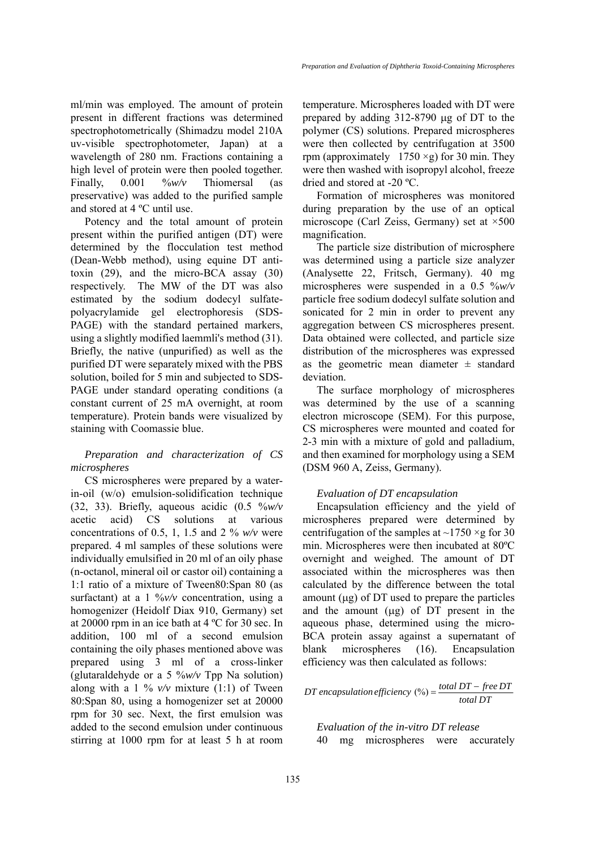ml/min was employed. The amount of protein present in different fractions was determined spectrophotometrically (Shimadzu model 210A uv-visible spectrophotometer, Japan) at a wavelength of 280 nm. Fractions containing a high level of protein were then pooled together. Finally, 0.001 %*w/v* Thiomersal (as preservative) was added to the purified sample and stored at 4 ºC until use.

Potency and the total amount of protein present within the purified antigen (DT) were determined by the flocculation test method (Dean-Webb method), using equine DT antitoxin (29), and the micro-BCA assay (30) respectively. The MW of the DT was also estimated by the sodium dodecyl sulfatepolyacrylamide gel electrophoresis (SDS-PAGE) with the standard pertained markers, using a slightly modified laemmli's method (31). Briefly, the native (unpurified) as well as the purified DT were separately mixed with the PBS solution, boiled for 5 min and subjected to SDS-PAGE under standard operating conditions (a constant current of 25 mA overnight, at room temperature). Protein bands were visualized by staining with Coomassie blue.

## *Preparation and characterization of CS microspheres*

CS microspheres were prepared by a waterin-oil (w/o) emulsion-solidification technique (32, 33). Briefly, aqueous acidic (0.5 %*w/v* acetic acid) CS solutions at various concentrations of 0.5, 1, 1.5 and 2 % *w/v* were prepared. 4 ml samples of these solutions were individually emulsified in 20 ml of an oily phase (n-octanol, mineral oil or castor oil) containing a 1:1 ratio of a mixture of Tween80:Span 80 (as surfactant) at a 1 %*v/v* concentration, using a homogenizer (Heidolf Diax 910, Germany) set at 20000 rpm in an ice bath at 4 ºC for 30 sec. In addition, 100 ml of a second emulsion containing the oily phases mentioned above was prepared using 3 ml of a cross-linker (glutaraldehyde or a 5 %*w/v* Tpp Na solution) along with a 1  $\%$  *v*/*v* mixture (1:1) of Tween 80:Span 80, using a homogenizer set at 20000 rpm for 30 sec. Next, the first emulsion was added to the second emulsion under continuous stirring at 1000 rpm for at least 5 h at room temperature. Microspheres loaded with DT were prepared by adding  $312-8790 \mu$ g of DT to the polymer (CS) solutions. Prepared microspheres were then collected by centrifugation at 3500 rpm (approximately 1750  $\times$ g) for 30 min. They were then washed with isopropyl alcohol, freeze dried and stored at -20 ºC.

Formation of microspheres was monitored during preparation by the use of an optical microscope (Carl Zeiss, Germany) set at ×500 magnification.

The particle size distribution of microsphere was determined using a particle size analyzer (Analysette 22, Fritsch, Germany). 40 mg microspheres were suspended in a 0.5 %*w/v* particle free sodium dodecyl sulfate solution and sonicated for 2 min in order to prevent any aggregation between CS microspheres present. Data obtained were collected, and particle size distribution of the microspheres was expressed as the geometric mean diameter  $\pm$  standard deviation.

The surface morphology of microspheres was determined by the use of a scanning electron microscope (SEM). For this purpose, CS microspheres were mounted and coated for 2-3 min with a mixture of gold and palladium, and then examined for morphology using a SEM (DSM 960 A, Zeiss, Germany).

### *Evaluation of DT encapsulation*

Encapsulation efficiency and the yield of microspheres prepared were determined by centrifugation of the samples at  $\sim$ 1750  $\times$ g for 30 min. Microspheres were then incubated at 80ºC overnight and weighed. The amount of DT associated within the microspheres was then calculated by the difference between the total amount  $(\mu g)$  of DT used to prepare the particles and the amount  $(\mu g)$  of DT present in the aqueous phase, determined using the micro-BCA protein assay against a supernatant of blank microspheres (16). Encapsulation efficiency was then calculated as follows:

*total*  $DT - free DT$ <br>*total*  $DT$ 

*Evaluation of the in-vitro DT release* 40 mg microspheres were accurately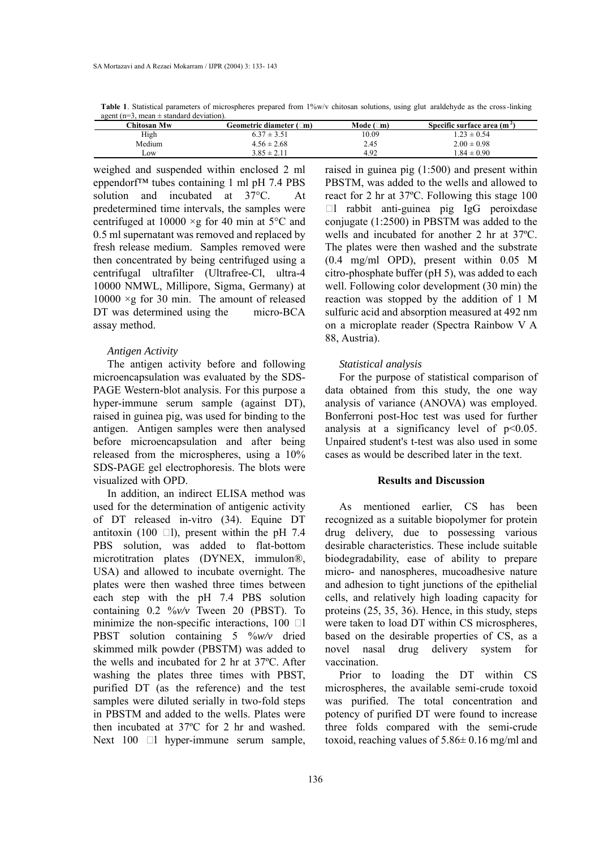**Table 1**. Statistical parameters of microspheres prepared from 1%w/v chitosan solutions, using glut araldehyde as the cross-linking agent ( $n=3$ , mean  $\pm$  standard deviation).

| Chitosan Mw       | Geometric diameter $(\mu m)$ | Mode (um) | Specific surface area $(m2)$ |
|-------------------|------------------------------|-----------|------------------------------|
| High              | $6.37 \pm 3.51$              | 10.09     | $1.23 \pm 0.54$              |
| Medium            | $4.56 \pm 2.68$              | 2.45      | $2.00 \pm 0.98$              |
| $L$ <sup>OW</sup> | $3.85 \pm 2.11$              | 4.92      | $.84 \pm 0.90$               |

weighed and suspended within enclosed 2 ml eppendorf $^{TM}$  tubes containing 1 ml pH 7.4 PBS solution and incubated at 37°C. At predetermined time intervals, the samples were centrifuged at 10000  $\times$ g for 40 min at 5 $\rm{^{\circ}C}$  and 0.5 ml supernatant was removed and replaced by fresh release medium. Samples removed were then concentrated by being centrifuged using a centrifugal ultrafilter (Ultrafree-Cl, ultra-4 10000 NMWL, Millipore, Sigma, Germany) at 10000 ×g for 30 min. The amount of released DT was determined using the micro-BCA assay method.

#### *Antigen Activity*

The antigen activity before and following microencapsulation was evaluated by the SDS-PAGE Western-blot analysis. For this purpose a hyper-immune serum sample (against DT), raised in guinea pig, was used for binding to the antigen. Antigen samples were then analysed before microencapsulation and after being released from the microspheres, using a 10% SDS-PAGE gel electrophoresis. The blots were visualized with OPD.

In addition, an indirect ELISA method was used for the determination of antigenic activity of DT released in-vitro (34). Equine DT antitoxin (100  $\mu$ 1), present within the pH 7.4 PBS solution, was added to flat-bottom microtitration plates (DYNEX, immulonÆ, USA) and allowed to incubate overnight. The plates were then washed three times between each step with the pH 7.4 PBS solution containing 0.2 %*v/v* Tween 20 (PBST). To minimize the non-specific interactions,  $100 \mu l$ PBST solution containing 5 %*w/v* dried skimmed milk powder (PBSTM) was added to the wells and incubated for 2 hr at 37ºC. After washing the plates three times with PBST, purified DT (as the reference) and the test samples were diluted serially in two-fold steps in PBSTM and added to the wells. Plates were then incubated at 37ºC for 2 hr and washed. Next 100  $\mu$ 1 hyper-immune serum sample, raised in guinea pig (1:500) and present within PBSTM, was added to the wells and allowed to react for 2 hr at 37ºC. Following this stage 100 µl rabbit anti-guinea pig IgG peroixdase conjugate (1:2500) in PBSTM was added to the wells and incubated for another 2 hr at 37ºC. The plates were then washed and the substrate (0.4 mg/ml OPD), present within 0.05 M citro-phosphate buffer (pH 5), was added to each well. Following color development (30 min) the reaction was stopped by the addition of 1 M sulfuric acid and absorption measured at 492 nm on a microplate reader (Spectra Rainbow V A 88, Austria).

#### *Statistical analysis*

For the purpose of statistical comparison of data obtained from this study, the one way analysis of variance (ANOVA) was employed. Bonferroni post-Hoc test was used for further analysis at a significancy level of  $p<0.05$ . Unpaired student's t-test was also used in some cases as would be described later in the text.

### **Results and Discussion**

As mentioned earlier, CS has been recognized as a suitable biopolymer for protein drug delivery, due to possessing various desirable characteristics. These include suitable biodegradability, ease of ability to prepare micro- and nanospheres, mucoadhesive nature and adhesion to tight junctions of the epithelial cells, and relatively high loading capacity for proteins (25, 35, 36). Hence, in this study, steps were taken to load DT within CS microspheres, based on the desirable properties of CS, as a novel nasal drug delivery system for vaccination.

Prior to loading the DT within CS microspheres, the available semi-crude toxoid was purified. The total concentration and potency of purified DT were found to increase three folds compared with the semi-crude toxoid, reaching values of 5.86± 0.16 mg/ml and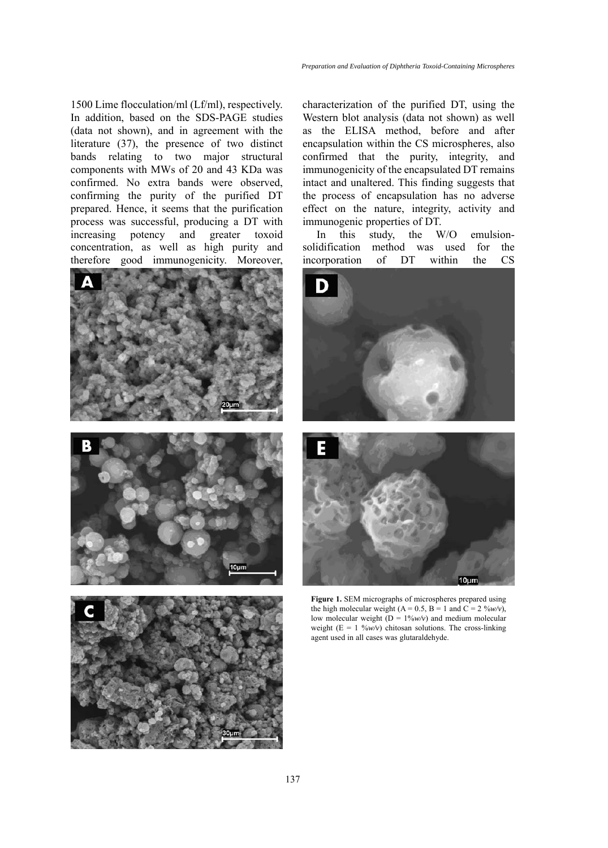1500 Lime flocculation/ml (Lf/ml), respectively. In addition, based on the SDS-PAGE studies (data not shown), and in agreement with the literature (37), the presence of two distinct bands relating to two major structural components with MWs of 20 and 43 KDa was confirmed. No extra bands were observed, confirming the purity of the purified DT prepared. Hence, it seems that the purification process was successful, producing a DT with increasing potency and greater toxoid concentration, as well as high purity and therefore good immunogenicity. Moreover,





characterization of the purified DT, using the Western blot analysis (data not shown) as well as the ELISA method, before and after encapsulation within the CS microspheres, also confirmed that the purity, integrity, and immunogenicity of the encapsulated DT remains intact and unaltered. This finding suggests that the process of encapsulation has no adverse effect on the nature, integrity, activity and immunogenic properties of DT.

In this study, the W/O emulsionsolidification method was used for the incorporation of DT within the CS



**Figure 1.** SEM micrographs of microspheres prepared using the high molecular weight (A = 0.5, B = 1 and C = 2  $\frac{\%w}{v}$ ), low molecular weight (D = 1%*w/v*) and medium molecular weight  $(E = 1 \frac{\omega_w}{v})$  chitosan solutions. The cross-linking agent used in all cases was glutaraldehyde.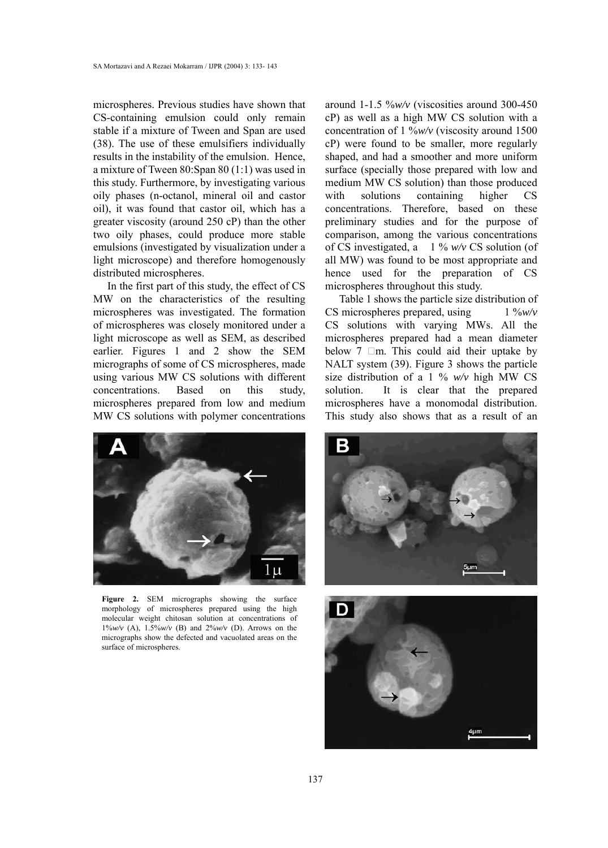microspheres. Previous studies have shown that CS-containing emulsion could only remain stable if a mixture of Tween and Span are used (38). The use of these emulsifiers individually results in the instability of the emulsion. Hence, a mixture of Tween 80:Span 80 (1:1) was used in this study. Furthermore, by investigating various oily phases (n-octanol, mineral oil and castor oil), it was found that castor oil, which has a greater viscosity (around 250 cP) than the other two oily phases, could produce more stable emulsions (investigated by visualization under a light microscope) and therefore homogenously distributed microspheres.

In the first part of this study, the effect of CS MW on the characteristics of the resulting microspheres was investigated. The formation of microspheres was closely monitored under a light microscope as well as SEM, as described earlier. Figures 1 and 2 show the SEM micrographs of some of CS microspheres, made using various MW CS solutions with different concentrations. Based on this study, microspheres prepared from low and medium MW CS solutions with polymer concentrations



**Figure 2.** SEM micrographs showing the surface morphology of microspheres prepared using the high molecular weight chitosan solution at concentrations of 1%*w/v* (A), 1.5%*w/v* (B) and 2%*w/v* (D). Arrows on the micrographs show the defected and vacuolated areas on the surface of microspheres.

around 1-1.5 %*w/v* (viscosities around 300-450 cP) as well as a high MW CS solution with a concentration of 1 %*w/v* (viscosity around 1500 cP) were found to be smaller, more regularly shaped, and had a smoother and more uniform surface (specially those prepared with low and medium MW CS solution) than those produced with solutions containing higher CS concentrations. Therefore, based on these preliminary studies and for the purpose of comparison, among the various concentrations of CS investigated, a 1 % *w/v* CS solution (of all MW) was found to be most appropriate and hence used for the preparation of CS microspheres throughout this study.

Table 1 shows the particle size distribution of CS microspheres prepared, using 1 %*w/v* CS solutions with varying MWs. All the microspheres prepared had a mean diameter below  $7 \mu$ m. This could aid their uptake by NALT system (39). Figure 3 shows the particle size distribution of a 1 % *w/v* high MW CS solution. It is clear that the prepared microspheres have a monomodal distribution. This study also shows that as a result of an



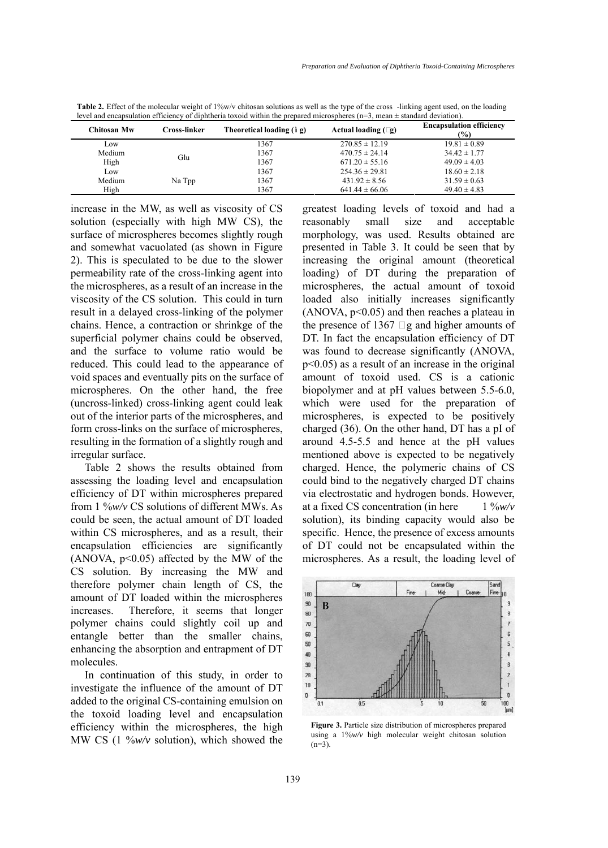| Chitosan Mw | Cross-linker | Theoretical loading (i g) | Actual loading $(\mu g)$ | <b>Encapsulation efficiency</b><br>$\frac{9}{0}$ |
|-------------|--------------|---------------------------|--------------------------|--------------------------------------------------|
| Low         | Glu          | 1367                      | $270.85 \pm 12.19$       | $19.81 \pm 0.89$                                 |
| Medium      |              | 1367                      | $470.75 \pm 24.14$       | $34.42 \pm 1.77$                                 |
| High        |              | 1367                      | $671.20 \pm 55.16$       | $49.09 \pm 4.03$                                 |
| Low         |              | 1367                      | $254.36 \pm 29.81$       | $18.60 \pm 2.18$                                 |
| Medium      | Na Tpp       | 1367                      | $431.92 \pm 8.56$        | $31.59 \pm 0.63$                                 |
| High        |              | 1367                      | $64144 \pm 6606$         | $49\,40 \pm 4\,83$                               |

Table 2. Effect of the molecular weight of 1%w/v chitosan solutions as well as the type of the cross -linking agent used, on the loading level and encapsulation efficiency of diphtheria toxoid within the prepared microspheres ( $n=3$ , mean  $\pm$  standard deviation).

increase in the MW, as well as viscosity of CS solution (especially with high MW CS), the surface of microspheres becomes slightly rough and somewhat vacuolated (as shown in Figure 2). This is speculated to be due to the slower permeability rate of the cross-linking agent into the microspheres, as a result of an increase in the viscosity of the CS solution. This could in turn result in a delayed cross-linking of the polymer chains. Hence, a contraction or shrinkge of the superficial polymer chains could be observed, and the surface to volume ratio would be reduced. This could lead to the appearance of void spaces and eventually pits on the surface of microspheres. On the other hand, the free (uncross-linked) cross-linking agent could leak out of the interior parts of the microspheres, and form cross-links on the surface of microspheres, resulting in the formation of a slightly rough and irregular surface.

Table 2 shows the results obtained from assessing the loading level and encapsulation efficiency of DT within microspheres prepared from 1 %*w/v* CS solutions of different MWs. As could be seen, the actual amount of DT loaded within CS microspheres, and as a result, their encapsulation efficiencies are significantly (ANOVA,  $p<0.05$ ) affected by the MW of the CS solution. By increasing the MW and therefore polymer chain length of CS, the amount of DT loaded within the microspheres increases. Therefore, it seems that longer polymer chains could slightly coil up and entangle better than the smaller chains, enhancing the absorption and entrapment of DT molecules.

In continuation of this study, in order to investigate the influence of the amount of DT added to the original CS-containing emulsion on the toxoid loading level and encapsulation efficiency within the microspheres, the high MW CS (1 %*w/v* solution), which showed the greatest loading levels of toxoid and had a reasonably small size and acceptable morphology, was used. Results obtained are presented in Table 3. It could be seen that by increasing the original amount (theoretical loading) of DT during the preparation of microspheres, the actual amount of toxoid loaded also initially increases significantly  $(ANOVA, p<0.05)$  and then reaches a plateau in the presence of 1367  $\mu$  g and higher amounts of DT. In fact the encapsulation efficiency of DT was found to decrease significantly (ANOVA, p<0.05) as a result of an increase in the original amount of toxoid used. CS is a cationic biopolymer and at pH values between 5.5-6.0, which were used for the preparation of microspheres, is expected to be positively charged (36). On the other hand, DT has a pI of around 4.5-5.5 and hence at the pH values mentioned above is expected to be negatively charged. Hence, the polymeric chains of CS could bind to the negatively charged DT chains via electrostatic and hydrogen bonds. However, at a fixed CS concentration (in here 1 %*w/v* solution), its binding capacity would also be specific. Hence, the presence of excess amounts of DT could not be encapsulated within the microspheres. As a result, the loading level of



**Figure 3.** Particle size distribution of microspheres prepared using a 1%*w/v* high molecular weight chitosan solution  $(n=3)$ .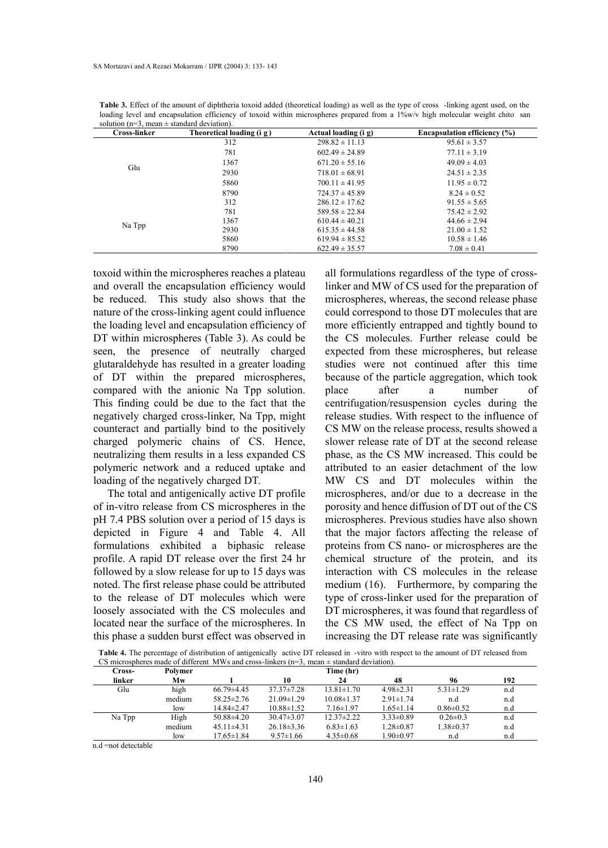| Cross-linker | Theoretical loading $(i g)$ | Actual loading (i g) | <b>Encapsulation efficiency (%)</b> |
|--------------|-----------------------------|----------------------|-------------------------------------|
| Glu          | 312                         | $298.82 \pm 11.13$   | $95.61 \pm 3.57$                    |
|              | 781                         | $602.49 \pm 24.89$   | $77.11 \pm 3.19$                    |
|              | 1367                        | $671.20 \pm 55.16$   | $49.09 \pm 4.03$                    |
|              | 2930                        | $718.01 \pm 68.91$   | $24.51 \pm 2.35$                    |
|              | 5860                        | $700.11 \pm 41.95$   | $11.95 \pm 0.72$                    |
|              | 8790                        | $724.37 \pm 45.89$   | $8.24 \pm 0.52$                     |
| Na Tpp       | 312                         | $286.12 \pm 17.62$   | $91.55 \pm 5.65$                    |
|              | 781                         | $589.58 \pm 22.84$   | $75.42 \pm 2.92$                    |
|              | 1367                        | $610.44 \pm 40.21$   | $44.66 \pm 2.94$                    |
|              | 2930                        | $615.35 \pm 44.58$   | $21.00 \pm 1.52$                    |
|              | 5860                        | $619.94 \pm 85.52$   | $10.58 \pm 1.46$                    |
|              | 8790                        | $622.49 \pm 35.57$   | $7.08 \pm 0.41$                     |

**Table 3.** Effect of the amount of diphtheria toxoid added (theoretical loading) as well as the type of cross -linking agent used, on the loading level and encapsulation efficiency of toxoid within microspheres prepared from a 1%w/v high molecular weight chito san solution ( $n=3$ , mean  $\pm$  standard deviation).

toxoid within the microspheres reaches a plateau and overall the encapsulation efficiency would be reduced. This study also shows that the nature of the cross-linking agent could influence the loading level and encapsulation efficiency of DT within microspheres (Table 3). As could be seen, the presence of neutrally charged glutaraldehyde has resulted in a greater loading of DT within the prepared microspheres, compared with the anionic Na Tpp solution. This finding could be due to the fact that the negatively charged cross-linker, Na Tpp, might counteract and partially bind to the positively charged polymeric chains of CS. Hence, neutralizing them results in a less expanded CS polymeric network and a reduced uptake and loading of the negatively charged DT.

The total and antigenically active DT profile of in-vitro release from CS microspheres in the pH 7.4 PBS solution over a period of 15 days is depicted in Figure 4 and Table 4. All formulations exhibited a biphasic release profile. A rapid DT release over the first 24 hr followed by a slow release for up to 15 days was noted. The first release phase could be attributed to the release of DT molecules which were loosely associated with the CS molecules and located near the surface of the microspheres. In this phase a sudden burst effect was observed in all formulations regardless of the type of crosslinker and MW of CS used for the preparation of microspheres, whereas, the second release phase could correspond to those DT molecules that are more efficiently entrapped and tightly bound to the CS molecules. Further release could be expected from these microspheres, but release studies were not continued after this time because of the particle aggregation, which took place after a number of centrifugation/resuspension cycles during the release studies. With respect to the influence of CS MW on the release process, results showed a slower release rate of DT at the second release phase, as the CS MW increased. This could be attributed to an easier detachment of the low MW CS and DT molecules within the microspheres, and/or due to a decrease in the porosity and hence diffusion of DT out of the CS microspheres. Previous studies have also shown that the major factors affecting the release of proteins from CS nano- or microspheres are the chemical structure of the protein, and its interaction with CS molecules in the release medium (16). Furthermore, by comparing the type of cross-linker used for the preparation of DT microspheres, it was found that regardless of the CS MW used, the effect of Na Tpp on increasing the DT release rate was significantly

**Table 4.** The percentage of distribution of antigenically active DT released in -vitro with respect to the amount of DT released from CS microspheres made of different MWs and cross-linkers ( $n=3$ , mean  $\pm$  standard deviation).

| Cross- | Polymer |                  |                  | Time (hr)        |                 |                 |     |
|--------|---------|------------------|------------------|------------------|-----------------|-----------------|-----|
| linker | Mw      |                  | 10               | 24               | 48              | 96              | 192 |
| Glu    | high    | $66.79\pm4.45$   | $37.37 \pm 7.28$ | $13.81 \pm 1.70$ | $4.98 \pm 2.31$ | $5.31 \pm 1.29$ | n.d |
|        | medium  | $58.25 \pm 2.76$ | $21.09 \pm 1.29$ | $10.08 \pm 1.37$ | $2.91 \pm 1.74$ | n.d             | n.d |
|        | low     | $14.84\pm2.47$   | $10.88 \pm 1.52$ | $7.16 \pm 1.97$  | $1.65 \pm 1.14$ | $0.86 \pm 0.52$ | n.d |
| Na Tpp | High    | $50.88\pm4.20$   | $30.47\pm3.07$   | $12.37 \pm 2.22$ | $3.33\pm0.89$   | $0.26 \pm 0.3$  | n.d |
|        | medium  | $45.11 \pm 4.31$ | $26.18\pm3.36$   | $6.83 \pm 1.63$  | $1.28 \pm 0.87$ | $1.38 \pm 0.37$ | n.d |
|        | low     | $17.65 \pm 1.84$ | $9.57 \pm 1.66$  | $4.35 \pm 0.68$  | $1.90 \pm 0.97$ | n.d             | n.d |

n.d =not detectable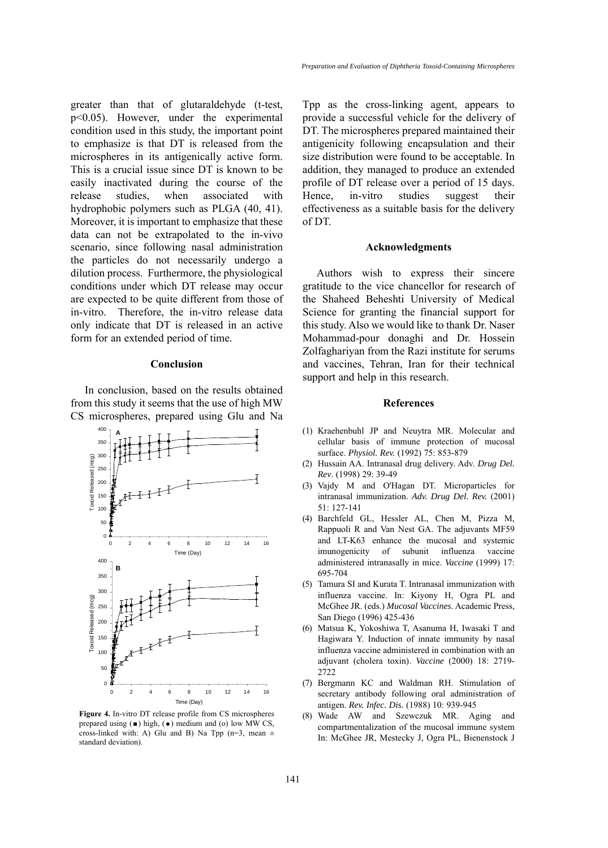greater than that of glutaraldehyde (t-test, p<0.05). However, under the experimental condition used in this study, the important point to emphasize is that DT is released from the microspheres in its antigenically active form. This is a crucial issue since DT is known to be easily inactivated during the course of the release studies, when associated with hydrophobic polymers such as PLGA (40, 41). Moreover, it is important to emphasize that these data can not be extrapolated to the in-vivo scenario, since following nasal administration the particles do not necessarily undergo a dilution process. Furthermore, the physiological conditions under which DT release may occur are expected to be quite different from those of in-vitro. Therefore, the in-vitro release data only indicate that DT is released in an active form for an extended period of time.

### **Conclusion**

In conclusion, based on the results obtained from this study it seems that the use of high MW CS microspheres, prepared using Glu and Na



**Figure 4.** In-vitro DT release profile from CS microspheres prepared using  $(\blacksquare)$  high,  $(\lozenge)$  medium and (o) low MW CS, cross-linked with: A) Glu and B) Na Tpp (n=3, mean ± standard deviation).

Tpp as the cross-linking agent, appears to provide a successful vehicle for the delivery of DT. The microspheres prepared maintained their antigenicity following encapsulation and their size distribution were found to be acceptable. In addition, they managed to produce an extended profile of DT release over a period of 15 days. Hence, in-vitro studies suggest their effectiveness as a suitable basis for the delivery of DT.

#### **Acknowledgments**

Authors wish to express their sincere gratitude to the vice chancellor for research of the Shaheed Beheshti University of Medical Science for granting the financial support for this study. Also we would like to thank Dr. Naser Mohammad-pour donaghi and Dr. Hossein Zolfaghariyan from the Razi institute for serums and vaccines, Tehran, Iran for their technical support and help in this research.

### **References**

- (1) Kraehenbuhl JP and Neuytra MR. Molecular and cellular basis of immune protection of mucosal surface. *Physiol. Rev.* (1992) 75: 853-879
- (2) Hussain AA. Intranasal drug delivery. Adv. Drug Del. *Rev*. (1998) 29: 39-49
- Vajdy M and O'Hagan DT. Microparticles for intranasal immunization. *Adv. Drug Del. Rev.* (2001) 51: 127-141 (3)
- Barchfeld GL, Hessler AL, Chen M, Pizza M, (4) Rappuoli R and Van Nest GA. The adjuvants MF59 and LT-K63 enhance the mucosal and systemic imunogenicity of subunit influenza vaccine administered intranasally in mice. *Vaccine* (1999) 17: 695-704
- Tamura SI and Kurata T. Intranasal immunization with (5) influenza vaccine. In: Kiyony H, Ogra PL and McGhee JR. (eds.) *Mucosal Vaccines*. Academic Press, San Diego (1996) 425-436
- Matsua K, Yokoshiwa T, Asanuma H, Iwasaki T and (6) Hagiwara Y. Induction of innate immunity by nasal influenza vaccine administered in combination with an adjuvant (cholera toxin). *Vaccine* (2000) 18: 2719- 2722
- Bergmann KC and Waldman RH. Stimulation of (7) secretary antibody following oral administration of antigen. *Rev. Infec. Dis.* (1988) 10: 939-945
- Wade AW and Szewczuk MR. Aging and (8)compartmentalization of the mucosal immune system In: McGhee JR, Mestecky J, Ogra PL, Bienenstock J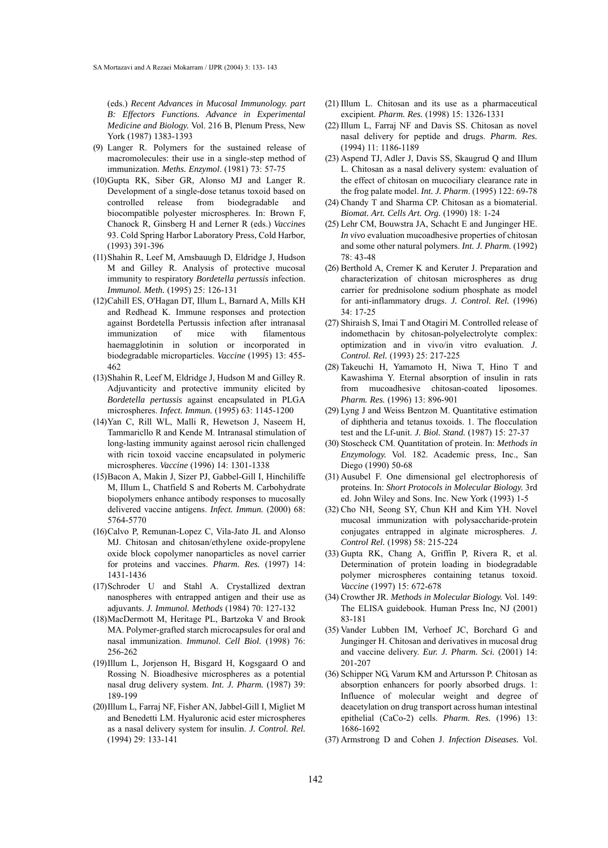(eds.) *Recent Advances in Mucosal Immunology. part B: Effectors Functions. Advance in Experimental Medicine and Biology.* Vol. 216 B, Plenum Press, New York (1987) 1383-1393

- Langer R. Polymers for the sustained release of (9) macromolecules: their use in a single-step method of immunization. *Meths. Enzymol*. (1981) 73: 57-75
- (10) Gupta RK, Siber GR, Alonso MJ and Langer R. Development of a single-dose tetanus toxoid based on controlled release from biodegradable and biocompatible polyester microspheres. In: Brown F, Chanock R, Ginsberg H and Lerner R (eds.) *Vaccines* 93. Cold Spring Harbor Laboratory Press, Cold Harbor, (1993) 391-396
- (11) Shahin R, Leef M, Amsbauugh D, Eldridge J, Hudson M and Gilley R. Analysis of protective mucosal immunity to respiratory *Bordetella pertussis* infection. *Immunol. Meth.* (1995) 25: 126-131
- (12) Cahill ES, O'Hagan DT, Illum L, Barnard A, Mills KH and Redhead K. Immune responses and protection against Bordetella Pertussis infection after intranasal immunization of mice with filamentous haemagglotinin in solution or incorporated in biodegradable microparticles. *Vaccine* (1995) 13: 455- 462
- (13) Shahin R, Leef M, Eldridge J, Hudson M and Gilley R. Adjuvanticity and protective immunity elicited by *Bordetella pertussis* against encapsulated in PLGA microspheres. *Infect. Immun.* (1995) 63: 1145-1200
- (14) Yan C, Rill WL, Malli R, Hewetson J, Naseem H, Tammaricllo R and Kende M. Intranasal stimulation of long-lasting immunity against aerosol ricin challenged with ricin toxoid vaccine encapsulated in polymeric microspheres. *Vaccine* (1996) 14: 1301-1338
- (15) Bacon A, Makin J, Sizer PJ, Gabbel-Gill I, Hinchiliffe M, Illum L, Chatfield S and Roberts M. Carbohydrate biopolymers enhance antibody responses to mucosally delivered vaccine antigens. *Infect. Immun.* (2000) 68: 5764-5770
- (16) Calvo P, Remunan-Lopez C, Vila-Jato JL and Alonso MJ. Chitosan and chitosan/ethylene oxide-propylene oxide block copolymer nanoparticles as novel carrier for proteins and vaccines. *Pharm. Res.* (1997) 14: 1431-1436
- (17) Schroder U and Stahl A. Crystallized dextran nanospheres with entrapped antigen and their use as adjuvants. *J. Immunol. Methods* (1984) 70: 127-132
- (18) MacDermott M, Heritage PL, Bartzoka V and Brook MA. Polymer-grafted starch microcapsules for oral and nasal immunization. *Immunol. Cell Biol.* (1998) 76: 256-262
- (19) Illum L, Jorjenson H, Bisgard H, Kogsgaard O and Rossing N. Bioadhesive microspheres as a potential nasal drug delivery system. *Int. J. Pharm.* (1987) 39: 189-199
- (20) Illum L, Farraj NF, Fisher AN, Jabbel-Gill I, Migliet M and Benedetti LM. Hyaluronic acid ester microspheres as a nasal delivery system for insulin. *J. Control. Rel.* (1994) 29: 133-141
- $(21)$  Illum L. Chitosan and its use as a pharmaceutical excipient. *Pharm. Res.* (1998) 15: 1326-1331
- (22) Illum L, Farraj NF and Davis SS. Chitosan as novel nasal delivery for peptide and drugs. *Pharm. Res.* (1994) 11: 1186-1189
- (23) Aspend TJ, Adler J, Davis SS, Skaugrud Q and IIlum L. Chitosan as a nasal delivery system: evaluation of the effect of chitosan on mucociliary clearance rate in the frog palate model. *Int. J. Pharm*. (1995) 122: 69-78
- (24) Chandy T and Sharma CP. Chitosan as a biomaterial. *Biomat. Art. Cells Art. Org.* (1990) 18: 1-24
- (25) Lehr CM, Bouwstra JA, Schacht E and Junginger HE. *In vivo* evaluation mucoadhesive properties of chitosan and some other natural polymers. *Int. J. Pharm.* (1992) 78: 43-48
- (26) Berthold A, Cremer K and Keruter J. Preparation and characterization of chitosan microspheres as drug carrier for prednisolone sodium phosphate as model for anti-inflammatory drugs. *J. Control. Rel.* (1996) 34: 17-25
- (27) Shiraish S, Imai T and Otagiri M. Controlled release of indomethacin by chitosan-polyelectrolyte complex: optimization and in vivo/in vitro evaluation. *J. Control. Rel.* (1993) 25: 217-225
- (28) Takeuchi H, Yamamoto H, Niwa T, Hino T and Kawashima Y. Eternal absorption of insulin in rats from mucoadhesive chitosan-coated liposomes. *Pharm. Res.* (1996) 13: 896-901
- Lyng J and Weiss Bentzon M. Quantitative estimation (29) of diphtheria and tetanus toxoids. 1. The flocculation test and the Lf-unit. *J. Biol. Stand.* (1987) 15: 27-37
- (30) Stoscheck CM. Quantitation of protein. In: Methods in *Enzymology.* Vol. 182. Academic press, Inc., San Diego (1990) 50-68
- (31) Ausubel F. One dimensional gel electrophoresis of proteins. In: *Short Protocols in Molecular Biology.* 3rd ed. John Wiley and Sons. Inc. New York (1993) 1-5
- (32) Cho NH, Seong SY, Chun KH and Kim YH. Novel mucosal immunization with polysaccharide-protein conjugates entrapped in alginate microspheres. *J. Control Rel.* (1998) 58: 215-224
- (33) Gupta RK, Chang A, Griffin P, Rivera R, et al. Determination of protein loading in biodegradable polymer microspheres containing tetanus toxoid. *Vaccine* (1997) 15: 672-678
- Crowther JR. *Methods in Molecular Biology.* Vol. 149: (34) The ELISA guidebook. Human Press Inc, NJ (2001) 83-181
- (35) Vander Lubben IM, Verhoef JC, Borchard G and Junginger H. Chitosan and derivatives in mucosal drug and vaccine delivery. *Eur. J. Pharm. Sci.* (2001) 14: 201-207
- (36) Schipper NG, Varum KM and Artursson P. Chitosan as absorption enhancers for poorly absorbed drugs. 1: Influence of molecular weight and degree of deacetylation on drug transport across human intestinal epithelial (CaCo-2) cells. *Pharm. Res.* (1996) 13: 1686-1692
- (37) Armstrong D and Cohen J. Infection Diseases. Vol.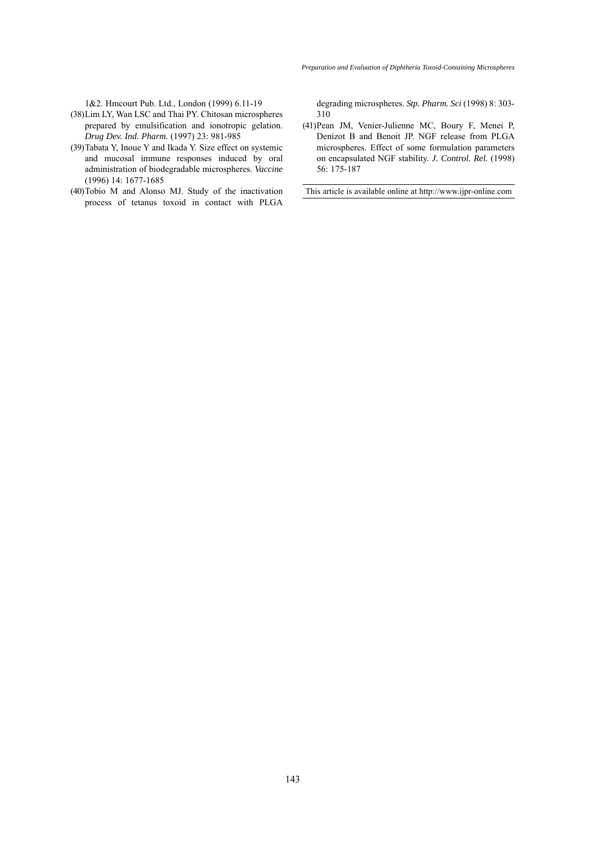1&2. Hmcourt Pub. Ltd., London (1999) 6.11-19

- (38) Lim LY, Wan LSC and Thai PY. Chitosan microspheres prepared by emulsification and ionotropic gelation. *Drug Dev. Ind. Pharm.* (1997) 23: 981-985
- (39) Tabata Y, Inoue Y and Ikada Y. Size effect on systemic and mucosal immune responses induced by oral administration of biodegradable microspheres. *Vaccine* (1996) 14: 1677-1685
- (40) Tobio M and Alonso MJ. Study of the inactivation process of tetanus toxoid in contact with PLGA

degrading microspheres. *Stp. Pharm. Sci* (1998) 8: 303- 310

- (41) Pean JM, Venier-Julienne MC, Boury F, Menei P, Denizot B and Benoit JP. NGF release from PLGA microspheres. Effect of some formulation parameters on encapsulated NGF stability. *J. Control. Rel.* (1998) 56: 175-187
- This article is available online at http://www.ijpr-online.com